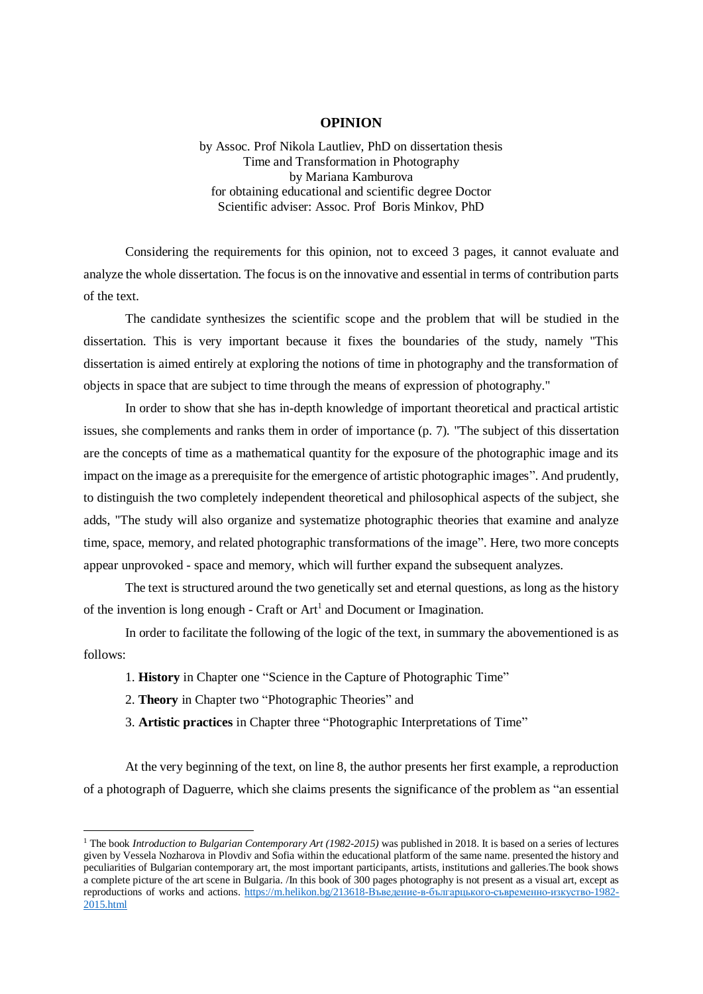## **OPINION**

by Assoc. Prof Nikola Lautliev, PhD on dissertation thesis Time and Transformation in Photography by Mariana Kamburova for obtaining educational and scientific degree Doctor Scientific adviser: Assoc. Prof Boris Minkov, PhD

Considering the requirements for this opinion, not to exceed 3 pages, it cannot evaluate and analyze the whole dissertation. The focus is on the innovative and essential in terms of contribution parts of the text.

The candidate synthesizes the scientific scope and the problem that will be studied in the dissertation. This is very important because it fixes the boundaries of the study, namely "This dissertation is aimed entirely at exploring the notions of time in photography and the transformation of objects in space that are subject to time through the means of expression of photography."

In order to show that she has in-depth knowledge of important theoretical and practical artistic issues, she complements and ranks them in order of importance (p. 7). "The subject of this dissertation are the concepts of time as a mathematical quantity for the exposure of the photographic image and its impact on the image as a prerequisite for the emergence of artistic photographic images". And prudently, to distinguish the two completely independent theoretical and philosophical aspects of the subject, she adds, "The study will also organize and systematize photographic theories that examine and analyze time, space, memory, and related photographic transformations of the image". Here, two more concepts appear unprovoked - space and memory, which will further expand the subsequent analyzes.

The text is structured around the two genetically set and eternal questions, as long as the history of the invention is long enough - Craft or  $Art<sup>1</sup>$  and Document or Imagination.

In order to facilitate the following of the logic of the text, in summary the abovementioned is as follows:

- 1. **History** in Chapter one "Science in the Capture of Photographic Time"
- 2. **Theory** in Chapter two "Photographic Theories" and

-

3. **Artistic practices** in Chapter three "Photographic Interpretations of Time"

At the very beginning of the text, on line 8, the author presents her first example, a reproduction of a photograph of Daguerre, which she claims presents the significance of the problem as "an essential

<sup>1</sup> The book *Introduction to Bulgarian Contemporary Art (1982-2015)* was published in 2018. It is based on a series of lectures given by Vessela Nozharova in Plovdiv and Sofia within the educational platform of the same name. presented the history and peculiarities of Bulgarian contemporary art, the most important participants, artists, institutions and galleries.The book shows a complete picture of the art scene in Bulgaria. /In this book of 300 pages photography is not present as a visual art, except as reproductions of works and actions. [https://m.helikon.bg/213618-Въведение-в-българцького-съвременно-изкуство-1982-](https://m.helikon.bg/213618-Въведение-в-българцького-съвременно-изкуство-1982-2015.html) [2015.html](https://m.helikon.bg/213618-Въведение-в-българцького-съвременно-изкуство-1982-2015.html)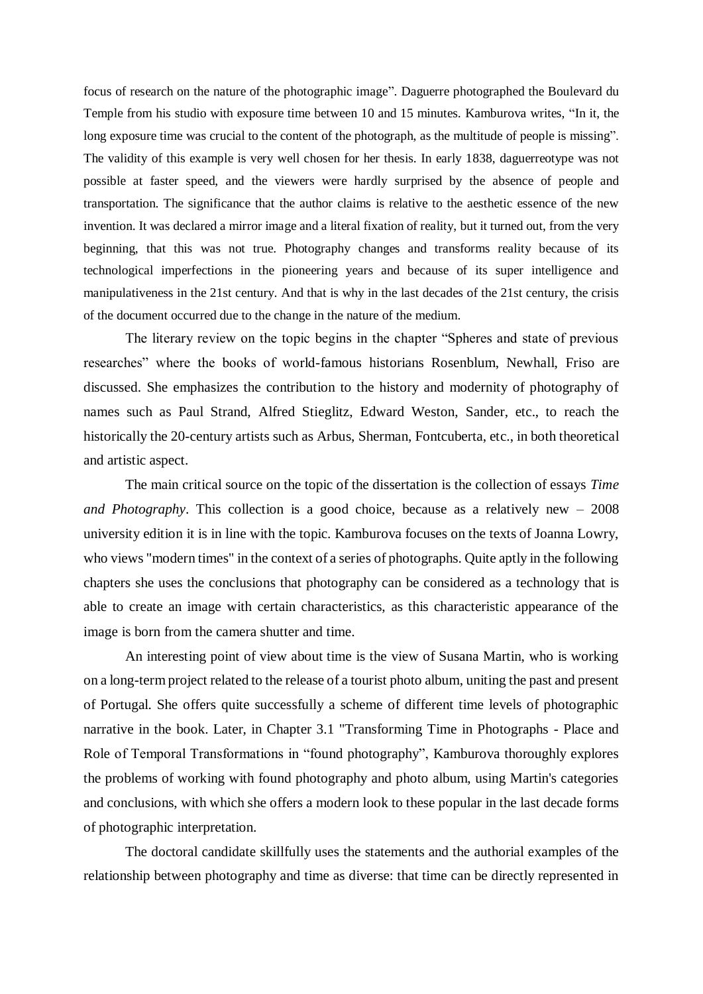focus of research on the nature of the photographic image". Daguerre photographed the Boulevard du Temple from his studio with exposure time between 10 and 15 minutes. Kamburova writes, "In it, the long exposure time was crucial to the content of the photograph, as the multitude of people is missing". The validity of this example is very well chosen for her thesis. In early 1838, daguerreotype was not possible at faster speed, and the viewers were hardly surprised by the absence of people and transportation. The significance that the author claims is relative to the aesthetic essence of the new invention. It was declared a mirror image and a literal fixation of reality, but it turned out, from the very beginning, that this was not true. Photography changes and transforms reality because of its technological imperfections in the pioneering years and because of its super intelligence and manipulativeness in the 21st century. And that is why in the last decades of the 21st century, the crisis of the document occurred due to the change in the nature of the medium.

The literary review on the topic begins in the chapter "Spheres and state of previous researches" where the books of world-famous historians Rosenblum, Newhall, Friso are discussed. She emphasizes the contribution to the history and modernity of photography of names such as Paul Strand, Alfred Stieglitz, Edward Weston, Sander, etc., to reach the historically the 20-century artists such as Arbus, Sherman, Fontcuberta, etc., in both theoretical and artistic aspect.

The main critical source on the topic of the dissertation is the collection of essays *Time and Photography*. This collection is a good choice, because as a relatively new – 2008 university edition it is in line with the topic. Kamburova focuses on the texts of Joanna Lowry, who views "modern times" in the context of a series of photographs. Quite aptly in the following chapters she uses the conclusions that photography can be considered as a technology that is able to create an image with certain characteristics, as this characteristic appearance of the image is born from the camera shutter and time.

An interesting point of view about time is the view of Susana Martin, who is working on a long-term project related to the release of a tourist photo album, uniting the past and present of Portugal. She offers quite successfully a scheme of different time levels of photographic narrative in the book. Later, in Chapter 3.1 "Transforming Time in Photographs - Place and Role of Temporal Transformations in "found photography", Kamburova thoroughly explores the problems of working with found photography and photo album, using Martin's categories and conclusions, with which she offers a modern look to these popular in the last decade forms of photographic interpretation.

The doctoral candidate skillfully uses the statements and the authorial examples of the relationship between photography and time as diverse: that time can be directly represented in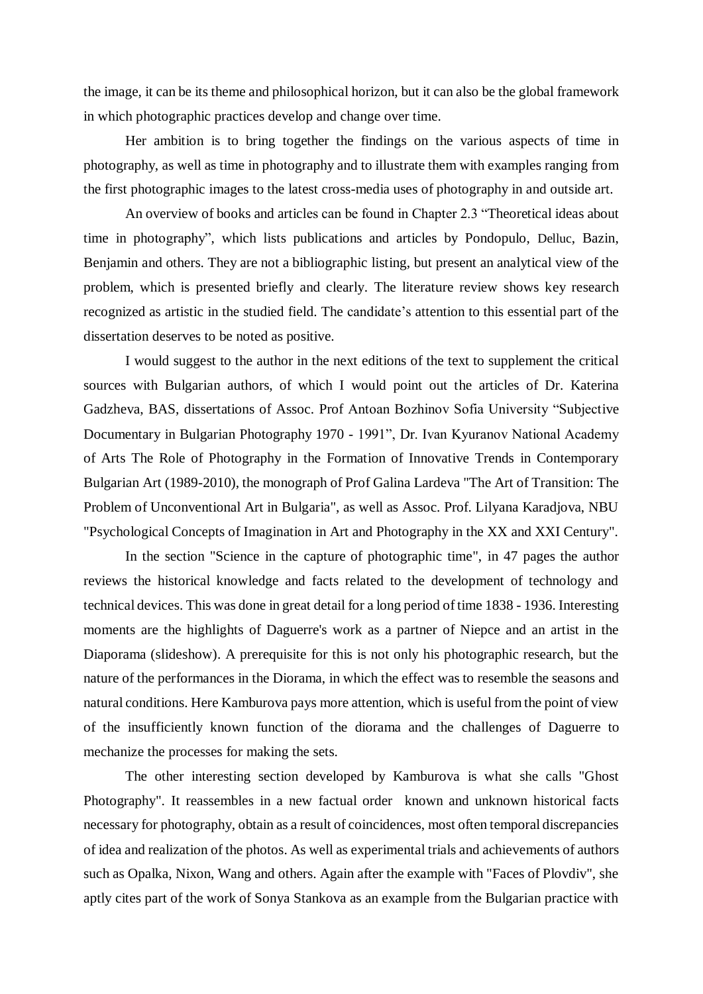the image, it can be its theme and philosophical horizon, but it can also be the global framework in which photographic practices develop and change over time.

Her ambition is to bring together the findings on the various aspects of time in photography, as well as time in photography and to illustrate them with examples ranging from the first photographic images to the latest cross-media uses of photography in and outside art.

An overview of books and articles can be found in Chapter 2.3 "Theoretical ideas about time in photography", which lists publications and articles by Pondopulo, Delluc, Bazin, Benjamin and others. They are not a bibliographic listing, but present an analytical view of the problem, which is presented briefly and clearly. The literature review shows key research recognized as artistic in the studied field. The candidate's attention to this essential part of the dissertation deserves to be noted as positive.

I would suggest to the author in the next editions of the text to supplement the critical sources with Bulgarian authors, of which I would point out the articles of Dr. Katerina Gadzheva, BAS, dissertations of Assoc. Prof Antoan Bozhinov Sofia University "Subjective Documentary in Bulgarian Photography 1970 - 1991", Dr. Ivan Kyuranov National Academy of Arts The Role of Photography in the Formation of Innovative Trends in Contemporary Bulgarian Art (1989-2010), the monograph of Prof Galina Lardeva "The Art of Transition: The Problem of Unconventional Art in Bulgaria", as well as Assoc. Prof. Lilyana Karadjova, NBU "Psychological Concepts of Imagination in Art and Photography in the XX and XXI Century".

In the section "Science in the capture of photographic time", in 47 pages the author reviews the historical knowledge and facts related to the development of technology and technical devices. This was done in great detail for a long period of time 1838 - 1936. Interesting moments are the highlights of Daguerre's work as a partner of Niepce and an artist in the Diaporama (slideshow). A prerequisite for this is not only his photographic research, but the nature of the performances in the Diorama, in which the effect was to resemble the seasons and natural conditions. Here Kamburova pays more attention, which is useful from the point of view of the insufficiently known function of the diorama and the challenges of Daguerre to mechanize the processes for making the sets.

The other interesting section developed by Kamburova is what she calls "Ghost Photography". It reassembles in a new factual order known and unknown historical facts necessary for photography, obtain as a result of coincidences, most often temporal discrepancies of idea and realization of the photos. As well as experimental trials and achievements of authors such as Opalka, Nixon, Wang and others. Again after the example with "Faces of Plovdiv", she aptly cites part of the work of Sonya Stankova as an example from the Bulgarian practice with